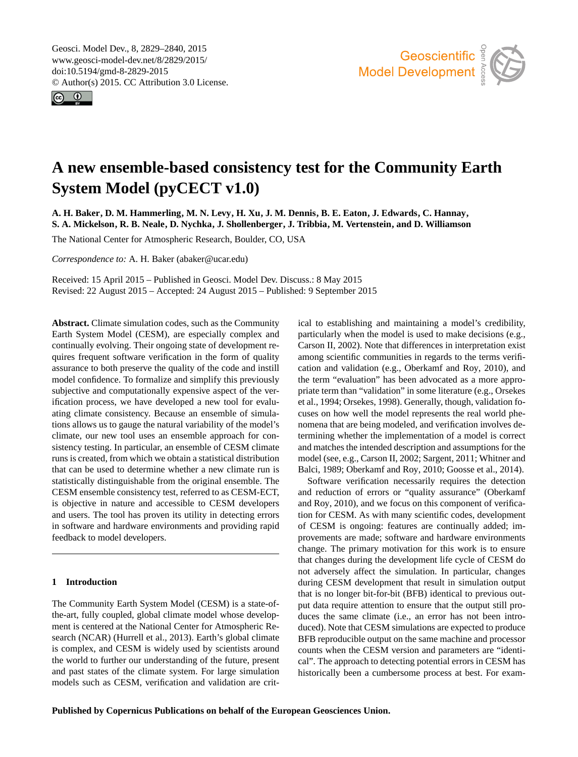<span id="page-0-0"></span>Geosci. Model Dev., 8, 2829–2840, 2015 www.geosci-model-dev.net/8/2829/2015/ doi:10.5194/gmd-8-2829-2015 © Author(s) 2015. CC Attribution 3.0 License.





# **A new ensemble-based consistency test for the Community Earth System Model (pyCECT v1.0)**

**A. H. Baker, D. M. Hammerling, M. N. Levy, H. Xu, J. M. Dennis, B. E. Eaton, J. Edwards, C. Hannay, S. A. Mickelson, R. B. Neale, D. Nychka, J. Shollenberger, J. Tribbia, M. Vertenstein, and D. Williamson**

The National Center for Atmospheric Research, Boulder, CO, USA

*Correspondence to:* A. H. Baker (abaker@ucar.edu)

Received: 15 April 2015 – Published in Geosci. Model Dev. Discuss.: 8 May 2015 Revised: 22 August 2015 – Accepted: 24 August 2015 – Published: 9 September 2015

**Abstract.** Climate simulation codes, such as the Community Earth System Model (CESM), are especially complex and continually evolving. Their ongoing state of development requires frequent software verification in the form of quality assurance to both preserve the quality of the code and instill model confidence. To formalize and simplify this previously subjective and computationally expensive aspect of the verification process, we have developed a new tool for evaluating climate consistency. Because an ensemble of simulations allows us to gauge the natural variability of the model's climate, our new tool uses an ensemble approach for consistency testing. In particular, an ensemble of CESM climate runs is created, from which we obtain a statistical distribution that can be used to determine whether a new climate run is statistically distinguishable from the original ensemble. The CESM ensemble consistency test, referred to as CESM-ECT, is objective in nature and accessible to CESM developers and users. The tool has proven its utility in detecting errors in software and hardware environments and providing rapid feedback to model developers.

## <span id="page-0-1"></span>**1 Introduction**

The Community Earth System Model (CESM) is a state-ofthe-art, fully coupled, global climate model whose development is centered at the National Center for Atmospheric Research (NCAR) [\(Hurrell et al.,](#page-11-0) [2013\)](#page-11-0). Earth's global climate is complex, and CESM is widely used by scientists around the world to further our understanding of the future, present and past states of the climate system. For large simulation models such as CESM, verification and validation are critical to establishing and maintaining a model's credibility, particularly when the model is used to make decisions (e.g., [Carson II,](#page-11-1) [2002\)](#page-11-1). Note that differences in interpretation exist among scientific communities in regards to the terms verification and validation (e.g., [Oberkamf and Roy,](#page-11-2) [2010\)](#page-11-2), and the term "evaluation" has been advocated as a more appropriate term than "validation" in some literature (e.g., [Orsekes](#page-11-3) [et al.,](#page-11-3) [1994;](#page-11-3) [Orsekes,](#page-11-4) [1998\)](#page-11-4). Generally, though, validation focuses on how well the model represents the real world phenomena that are being modeled, and verification involves determining whether the implementation of a model is correct and matches the intended description and assumptions for the model (see, e.g., [Carson II,](#page-11-1) [2002;](#page-11-1) [Sargent,](#page-11-5) [2011;](#page-11-5) [Whitner and](#page-11-6) [Balci,](#page-11-6) [1989;](#page-11-6) [Oberkamf and Roy,](#page-11-2) [2010;](#page-11-2) [Goosse et al.,](#page-11-7) [2014\)](#page-11-7).

Software verification necessarily requires the detection and reduction of errors or "quality assurance" [\(Oberkamf](#page-11-2) [and Roy,](#page-11-2) [2010\)](#page-11-2), and we focus on this component of verification for CESM. As with many scientific codes, development of CESM is ongoing: features are continually added; improvements are made; software and hardware environments change. The primary motivation for this work is to ensure that changes during the development life cycle of CESM do not adversely affect the simulation. In particular, changes during CESM development that result in simulation output that is no longer bit-for-bit (BFB) identical to previous output data require attention to ensure that the output still produces the same climate (i.e., an error has not been introduced). Note that CESM simulations are expected to produce BFB reproducible output on the same machine and processor counts when the CESM version and parameters are "identical". The approach to detecting potential errors in CESM has historically been a cumbersome process at best. For exam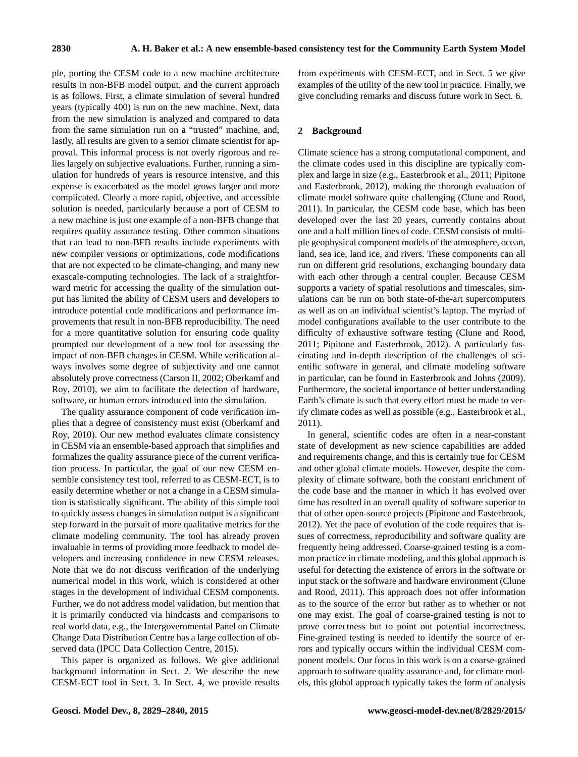ple, porting the CESM code to a new machine architecture results in non-BFB model output, and the current approach is as follows. First, a climate simulation of several hundred years (typically 400) is run on the new machine. Next, data from the new simulation is analyzed and compared to data from the same simulation run on a "trusted" machine, and, lastly, all results are given to a senior climate scientist for approval. This informal process is not overly rigorous and relies largely on subjective evaluations. Further, running a simulation for hundreds of years is resource intensive, and this expense is exacerbated as the model grows larger and more complicated. Clearly a more rapid, objective, and accessible solution is needed, particularly because a port of CESM to a new machine is just one example of a non-BFB change that requires quality assurance testing. Other common situations that can lead to non-BFB results include experiments with new compiler versions or optimizations, code modifications that are not expected to be climate-changing, and many new exascale-computing technologies. The lack of a straightforward metric for accessing the quality of the simulation output has limited the ability of CESM users and developers to introduce potential code modifications and performance improvements that result in non-BFB reproducibility. The need for a more quantitative solution for ensuring code quality prompted our development of a new tool for assessing the impact of non-BFB changes in CESM. While verification always involves some degree of subjectivity and one cannot absolutely prove correctness [\(Carson II,](#page-11-1) [2002;](#page-11-1) [Oberkamf and](#page-11-2) [Roy,](#page-11-2) [2010\)](#page-11-2), we aim to facilitate the detection of hardware, software, or human errors introduced into the simulation.

The quality assurance component of code verification implies that a degree of consistency must exist [\(Oberkamf and](#page-11-2) [Roy,](#page-11-2) [2010\)](#page-11-2). Our new method evaluates climate consistency in CESM via an ensemble-based approach that simplifies and formalizes the quality assurance piece of the current verification process. In particular, the goal of our new CESM ensemble consistency test tool, referred to as CESM-ECT, is to easily determine whether or not a change in a CESM simulation is statistically significant. The ability of this simple tool to quickly assess changes in simulation output is a significant step forward in the pursuit of more qualitative metrics for the climate modeling community. The tool has already proven invaluable in terms of providing more feedback to model developers and increasing confidence in new CESM releases. Note that we do not discuss verification of the underlying numerical model in this work, which is considered at other stages in the development of individual CESM components. Further, we do not address model validation, but mention that it is primarily conducted via hindcasts and comparisons to real world data, e.g., the Intergovernmental Panel on Climate Change Data Distribution Centre has a large collection of observed data [\(IPCC Data Collection Centre,](#page-11-8) [2015\)](#page-11-8).

This paper is organized as follows. We give additional background information in Sect. [2.](#page-1-0) We describe the new CESM-ECT tool in Sect. [3.](#page-2-0) In Sect. [4,](#page-5-0) we provide results from experiments with CESM-ECT, and in Sect. [5](#page-9-0) we give examples of the utility of the new tool in practice. Finally, we give concluding remarks and discuss future work in Sect. [6.](#page-9-1)

#### <span id="page-1-0"></span>**2 Background**

Climate science has a strong computational component, and the climate codes used in this discipline are typically complex and large in size (e.g., [Easterbrook et al.,](#page-11-9) [2011;](#page-11-9) [Pipitone](#page-11-10) [and Easterbrook,](#page-11-10) [2012\)](#page-11-10), making the thorough evaluation of climate model software quite challenging [\(Clune and Rood,](#page-11-11) [2011\)](#page-11-11). In particular, the CESM code base, which has been developed over the last 20 years, currently contains about one and a half million lines of code. CESM consists of multiple geophysical component models of the atmosphere, ocean, land, sea ice, land ice, and rivers. These components can all run on different grid resolutions, exchanging boundary data with each other through a central coupler. Because CESM supports a variety of spatial resolutions and timescales, simulations can be run on both state-of-the-art supercomputers as well as on an individual scientist's laptop. The myriad of model configurations available to the user contribute to the difficulty of exhaustive software testing [\(Clune and Rood,](#page-11-11) [2011;](#page-11-11) [Pipitone and Easterbrook,](#page-11-10) [2012\)](#page-11-10). A particularly fascinating and in-depth description of the challenges of scientific software in general, and climate modeling software in particular, can be found in [Easterbrook and Johns](#page-11-12) [\(2009\)](#page-11-12). Furthermore, the societal importance of better understanding Earth's climate is such that every effort must be made to verify climate codes as well as possible (e.g., [Easterbrook et al.,](#page-11-9) [2011\)](#page-11-9).

In general, scientific codes are often in a near-constant state of development as new science capabilities are added and requirements change, and this is certainly true for CESM and other global climate models. However, despite the complexity of climate software, both the constant enrichment of the code base and the manner in which it has evolved over time has resulted in an overall quality of software superior to that of other open-source projects [\(Pipitone and Easterbrook,](#page-11-10) [2012\)](#page-11-10). Yet the pace of evolution of the code requires that issues of correctness, reproducibility and software quality are frequently being addressed. Coarse-grained testing is a common practice in climate modeling, and this global approach is useful for detecting the existence of errors in the software or input stack or the software and hardware environment [\(Clune](#page-11-11) [and Rood,](#page-11-11) [2011\)](#page-11-11). This approach does not offer information as to the source of the error but rather as to whether or not one may exist. The goal of coarse-grained testing is not to prove correctness but to point out potential incorrectness. Fine-grained testing is needed to identify the source of errors and typically occurs within the individual CESM component models. Our focus in this work is on a coarse-grained approach to software quality assurance and, for climate models, this global approach typically takes the form of analysis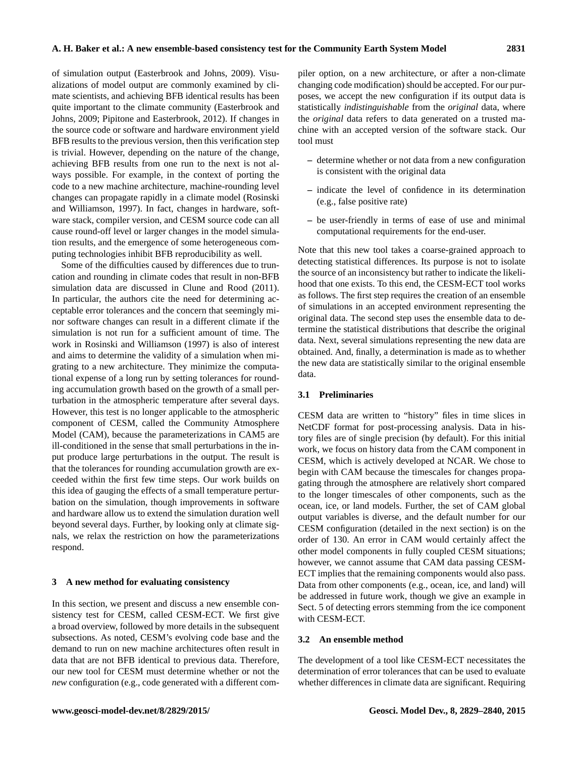of simulation output [\(Easterbrook and Johns,](#page-11-12) [2009\)](#page-11-12). Visualizations of model output are commonly examined by climate scientists, and achieving BFB identical results has been quite important to the climate community [\(Easterbrook and](#page-11-12) [Johns,](#page-11-12) [2009;](#page-11-12) [Pipitone and Easterbrook,](#page-11-10) [2012\)](#page-11-10). If changes in the source code or software and hardware environment yield BFB results to the previous version, then this verification step is trivial. However, depending on the nature of the change, achieving BFB results from one run to the next is not always possible. For example, in the context of porting the code to a new machine architecture, machine-rounding level changes can propagate rapidly in a climate model [\(Rosinski](#page-11-13) [and Williamson,](#page-11-13) [1997\)](#page-11-13). In fact, changes in hardware, software stack, compiler version, and CESM source code can all cause round-off level or larger changes in the model simulation results, and the emergence of some heterogeneous computing technologies inhibit BFB reproducibility as well.

Some of the difficulties caused by differences due to truncation and rounding in climate codes that result in non-BFB simulation data are discussed in [Clune and Rood](#page-11-11) [\(2011\)](#page-11-11). In particular, the authors cite the need for determining acceptable error tolerances and the concern that seemingly minor software changes can result in a different climate if the simulation is not run for a sufficient amount of time. The work in [Rosinski and Williamson](#page-11-13) [\(1997\)](#page-11-13) is also of interest and aims to determine the validity of a simulation when migrating to a new architecture. They minimize the computational expense of a long run by setting tolerances for rounding accumulation growth based on the growth of a small perturbation in the atmospheric temperature after several days. However, this test is no longer applicable to the atmospheric component of CESM, called the Community Atmosphere Model (CAM), because the parameterizations in CAM5 are ill-conditioned in the sense that small perturbations in the input produce large perturbations in the output. The result is that the tolerances for rounding accumulation growth are exceeded within the first few time steps. Our work builds on this idea of gauging the effects of a small temperature perturbation on the simulation, though improvements in software and hardware allow us to extend the simulation duration well beyond several days. Further, by looking only at climate signals, we relax the restriction on how the parameterizations respond.

#### <span id="page-2-0"></span>**3 A new method for evaluating consistency**

In this section, we present and discuss a new ensemble consistency test for CESM, called CESM-ECT. We first give a broad overview, followed by more details in the subsequent subsections. As noted, CESM's evolving code base and the demand to run on new machine architectures often result in data that are not BFB identical to previous data. Therefore, our new tool for CESM must determine whether or not the *new* configuration (e.g., code generated with a different compiler option, on a new architecture, or after a non-climate changing code modification) should be accepted. For our purposes, we accept the new configuration if its output data is statistically *indistinguishable* from the *original* data, where the *original* data refers to data generated on a trusted machine with an accepted version of the software stack. Our tool must

- **–** determine whether or not data from a new configuration is consistent with the original data
- **–** indicate the level of confidence in its determination (e.g., false positive rate)
- **–** be user-friendly in terms of ease of use and minimal computational requirements for the end-user.

Note that this new tool takes a coarse-grained approach to detecting statistical differences. Its purpose is not to isolate the source of an inconsistency but rather to indicate the likelihood that one exists. To this end, the CESM-ECT tool works as follows. The first step requires the creation of an ensemble of simulations in an accepted environment representing the original data. The second step uses the ensemble data to determine the statistical distributions that describe the original data. Next, several simulations representing the new data are obtained. And, finally, a determination is made as to whether the new data are statistically similar to the original ensemble data.

## **3.1 Preliminaries**

CESM data are written to "history" files in time slices in NetCDF format for post-processing analysis. Data in history files are of single precision (by default). For this initial work, we focus on history data from the CAM component in CESM, which is actively developed at NCAR. We chose to begin with CAM because the timescales for changes propagating through the atmosphere are relatively short compared to the longer timescales of other components, such as the ocean, ice, or land models. Further, the set of CAM global output variables is diverse, and the default number for our CESM configuration (detailed in the next section) is on the order of 130. An error in CAM would certainly affect the other model components in fully coupled CESM situations; however, we cannot assume that CAM data passing CESM-ECT implies that the remaining components would also pass. Data from other components (e.g., ocean, ice, and land) will be addressed in future work, though we give an example in Sect. [5](#page-9-0) of detecting errors stemming from the ice component with CESM-ECT.

#### **3.2 An ensemble method**

The development of a tool like CESM-ECT necessitates the determination of error tolerances that can be used to evaluate whether differences in climate data are significant. Requiring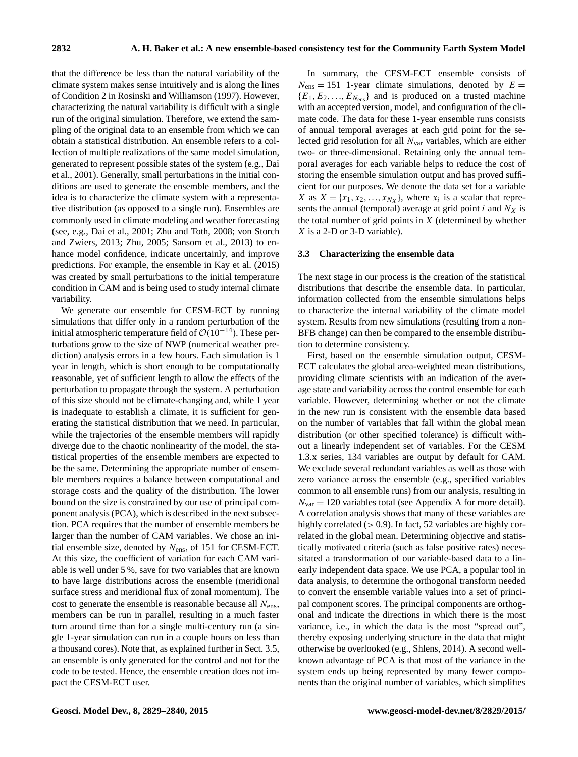that the difference be less than the natural variability of the climate system makes sense intuitively and is along the lines of Condition 2 in [Rosinski and Williamson](#page-11-13) [\(1997\)](#page-11-13). However, characterizing the natural variability is difficult with a single run of the original simulation. Therefore, we extend the sampling of the original data to an ensemble from which we can obtain a statistical distribution. An ensemble refers to a collection of multiple realizations of the same model simulation, generated to represent possible states of the system (e.g., [Dai](#page-11-14) [et al.,](#page-11-14) [2001\)](#page-11-14). Generally, small perturbations in the initial conditions are used to generate the ensemble members, and the idea is to characterize the climate system with a representative distribution (as opposed to a single run). Ensembles are commonly used in climate modeling and weather forecasting (see, e.g., [Dai et al.,](#page-11-14) [2001;](#page-11-14) [Zhu and Toth,](#page-11-15) [2008;](#page-11-15) [von Storch](#page-11-16) [and Zwiers,](#page-11-16) [2013;](#page-11-16) [Zhu,](#page-11-17) [2005;](#page-11-17) [Sansom et al.,](#page-11-18) [2013\)](#page-11-18) to enhance model confidence, indicate uncertainly, and improve predictions. For example, the ensemble in [Kay et al.](#page-11-19) [\(2015\)](#page-11-19) was created by small perturbations to the initial temperature condition in CAM and is being used to study internal climate variability.

We generate our ensemble for CESM-ECT by running simulations that differ only in a random perturbation of the initial atmospheric temperature field of  $\mathcal{O}(10^{-14})$ . These perturbations grow to the size of NWP (numerical weather prediction) analysis errors in a few hours. Each simulation is 1 year in length, which is short enough to be computationally reasonable, yet of sufficient length to allow the effects of the perturbation to propagate through the system. A perturbation of this size should not be climate-changing and, while 1 year is inadequate to establish a climate, it is sufficient for generating the statistical distribution that we need. In particular, while the trajectories of the ensemble members will rapidly diverge due to the chaotic nonlinearity of the model, the statistical properties of the ensemble members are expected to be the same. Determining the appropriate number of ensemble members requires a balance between computational and storage costs and the quality of the distribution. The lower bound on the size is constrained by our use of principal component analysis (PCA), which is described in the next subsection. PCA requires that the number of ensemble members be larger than the number of CAM variables. We chose an initial ensemble size, denoted by  $N_{\text{ens}}$ , of 151 for CESM-ECT. At this size, the coefficient of variation for each CAM variable is well under 5 %, save for two variables that are known to have large distributions across the ensemble (meridional surface stress and meridional flux of zonal momentum). The cost to generate the ensemble is reasonable because all  $N_{\text{ens}}$ , members can be run in parallel, resulting in a much faster turn around time than for a single multi-century run (a single 1-year simulation can run in a couple hours on less than a thousand cores). Note that, as explained further in Sect. [3.5,](#page-5-1) an ensemble is only generated for the control and not for the code to be tested. Hence, the ensemble creation does not impact the CESM-ECT user.

In summary, the CESM-ECT ensemble consists of  $N_{\text{ens}} = 151$  1-year climate simulations, denoted by  $E =$  ${E_1, E_2, ..., E_{N_{\text{ens}}}}$  and is produced on a trusted machine with an accepted version, model, and configuration of the climate code. The data for these 1-year ensemble runs consists of annual temporal averages at each grid point for the selected grid resolution for all  $N_{\text{var}}$  variables, which are either two- or three-dimensional. Retaining only the annual temporal averages for each variable helps to reduce the cost of storing the ensemble simulation output and has proved sufficient for our purposes. We denote the data set for a variable X as  $X = \{x_1, x_2, \dots, x_{N_X}\}\,$ , where  $x_i$  is a scalar that represents the annual (temporal) average at grid point  $i$  and  $N_X$  is the total number of grid points in  $X$  (determined by whether X is a 2-D or 3-D variable).

#### <span id="page-3-0"></span>**3.3 Characterizing the ensemble data**

The next stage in our process is the creation of the statistical distributions that describe the ensemble data. In particular, information collected from the ensemble simulations helps to characterize the internal variability of the climate model system. Results from new simulations (resulting from a non-BFB change) can then be compared to the ensemble distribution to determine consistency.

First, based on the ensemble simulation output, CESM-ECT calculates the global area-weighted mean distributions, providing climate scientists with an indication of the average state and variability across the control ensemble for each variable. However, determining whether or not the climate in the new run is consistent with the ensemble data based on the number of variables that fall within the global mean distribution (or other specified tolerance) is difficult without a linearly independent set of variables. For the CESM 1.3.x series, 134 variables are output by default for CAM. We exclude several redundant variables as well as those with zero variance across the ensemble (e.g., specified variables common to all ensemble runs) from our analysis, resulting in  $N_{\text{var}} = 120$  variables total (see [A](#page-10-0)ppendix A for more detail). A correlation analysis shows that many of these variables are highly correlated ( $> 0.9$ ). In fact, 52 variables are highly correlated in the global mean. Determining objective and statistically motivated criteria (such as false positive rates) necessitated a transformation of our variable-based data to a linearly independent data space. We use PCA, a popular tool in data analysis, to determine the orthogonal transform needed to convert the ensemble variable values into a set of principal component scores. The principal components are orthogonal and indicate the directions in which there is the most variance, i.e., in which the data is the most "spread out", thereby exposing underlying structure in the data that might otherwise be overlooked (e.g., [Shlens,](#page-11-20) [2014\)](#page-11-20). A second wellknown advantage of PCA is that most of the variance in the system ends up being represented by many fewer components than the original number of variables, which simplifies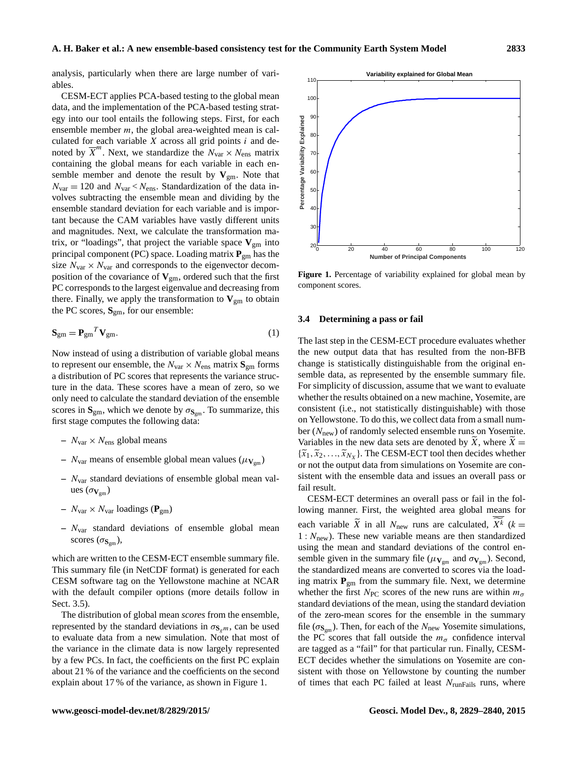analysis, particularly when there are large number of variables.

CESM-ECT applies PCA-based testing to the global mean data, and the implementation of the PCA-based testing strategy into our tool entails the following steps. First, for each ensemble member  $m$ , the global area-weighted mean is calculated for each variable  $X$  across all grid points  $i$  and denoted by  $\overline{X}^m$ . Next, we standardize the  $N_{\text{var}} \times N_{\text{ens}}$  matrix containing the global means for each variable in each ensemble member and denote the result by  $V_{\text{gm}}$ . Note that  $N_{\text{var}} = 120$  and  $N_{\text{var}} < N_{\text{ens}}$ . Standardization of the data involves subtracting the ensemble mean and dividing by the ensemble standard deviation for each variable and is important because the CAM variables have vastly different units and magnitudes. Next, we calculate the transformation matrix, or "loadings", that project the variable space  $V_{\rm gm}$  into principal component (PC) space. Loading matrix **P**gm has the size  $N_{\text{var}} \times N_{\text{var}}$  and corresponds to the eigenvector decomposition of the covariance of  $V_{\text{gm}}$ , ordered such that the first PC corresponds to the largest eigenvalue and decreasing from there. Finally, we apply the transformation to  $V_{gm}$  to obtain the PC scores, **S**gm, for our ensemble:

$$
\mathbf{S}_{gm} = \mathbf{P}_{gm}^T \mathbf{V}_{gm}.\tag{1}
$$

Now instead of using a distribution of variable global means to represent our ensemble, the  $N_{\text{var}} \times N_{\text{ens}}$  matrix  $S_{\text{gm}}$  forms a distribution of PC scores that represents the variance structure in the data. These scores have a mean of zero, so we only need to calculate the standard deviation of the ensemble scores in  $S_{gm}$ , which we denote by  $\sigma_{S_{gm}}$ . To summarize, this first stage computes the following data:

- $N_{\text{var}} \times N_{\text{ens}}$  global means
- $N_{\text{var}}$  means of ensemble global mean values ( $\mu_{\mathbf{V}_{\text{sym}}}$ )
- **–** Nvar standard deviations of ensemble global mean values  $(\sigma_{V_{\text{om}}})$
- $N_{\text{var}} \times N_{\text{var}}$  loadings ( $\mathbf{P}_{\text{gm}}$ )
- **–** Nvar standard deviations of ensemble global mean scores  $(\sigma_{S_{\text{gm}}})$ ,

which are written to the CESM-ECT ensemble summary file. This summary file (in NetCDF format) is generated for each CESM software tag on the Yellowstone machine at NCAR with the default compiler options (more details follow in Sect. [3.5\)](#page-5-1).

The distribution of global mean *scores* from the ensemble, represented by the standard deviations in  $\sigma_{\mathbf{S}_{g,m}}$ , can be used to evaluate data from a new simulation. Note that most of the variance in the climate data is now largely represented by a few PCs. In fact, the coefficients on the first PC explain about 21 % of the variance and the coefficients on the second explain about 17 % of the variance, as shown in Figure [1.](#page-4-0)

**Figure 1.** Percentage of variability explained for global mean by component scores.

#### **3.4 Determining a pass or fail**

The last step in the CESM-ECT procedure evaluates whether the new output data that has resulted from the non-BFB change is statistically distinguishable from the original ensemble data, as represented by the ensemble summary file. For simplicity of discussion, assume that we want to evaluate whether the results obtained on a new machine, Yosemite, are consistent (i.e., not statistically distinguishable) with those on Yellowstone. To do this, we collect data from a small number  $(N<sub>new</sub>)$  of randomly selected ensemble runs on Yosemite. Variables in the new data sets are denoted by X, where  $X =$  ${\{\tilde{x}_1, \tilde{x}_2, ..., \tilde{x}_{N_X}\}}$ . The CESM-ECT tool then decides whether<br>or not the output data from simulations on Vosemite are conor not the output data from simulations on Yosemite are consistent with the ensemble data and issues an overall pass or fail result.

CESM-ECT determines an overall pass or fail in the following manner. First, the weighted area global means for each variable  $\hat{X}$  in all  $N_{\text{new}}$  runs are calculated,  $X^k$  ( $k = 1, \ldots, N_k$ )  $1 : N<sub>new</sub>$ ). These new variable means are then standardized using the mean and standard deviations of the control ensemble given in the summary file ( $\mu_{\mathbf{V}_{gm}}$  and  $\sigma_{\mathbf{V}_{gm}}$ ). Second, the standardized means are converted to scores via the loading matrix **P**gm from the summary file. Next, we determine whether the first  $N_{\text{PC}}$  scores of the new runs are within  $m_{\sigma}$ standard deviations of the mean, using the standard deviation of the zero-mean scores for the ensemble in the summary file ( $\sigma_{S_{\rm sm}}$ ). Then, for each of the  $N_{\rm new}$  Yosemite simulations, the PC scores that fall outside the  $m<sub>\sigma</sub>$  confidence interval are tagged as a "fail" for that particular run. Finally, CESM-ECT decides whether the simulations on Yosemite are consistent with those on Yellowstone by counting the number of times that each PC failed at least  $N_{\text{runFails}}$  runs, where

<span id="page-4-0"></span>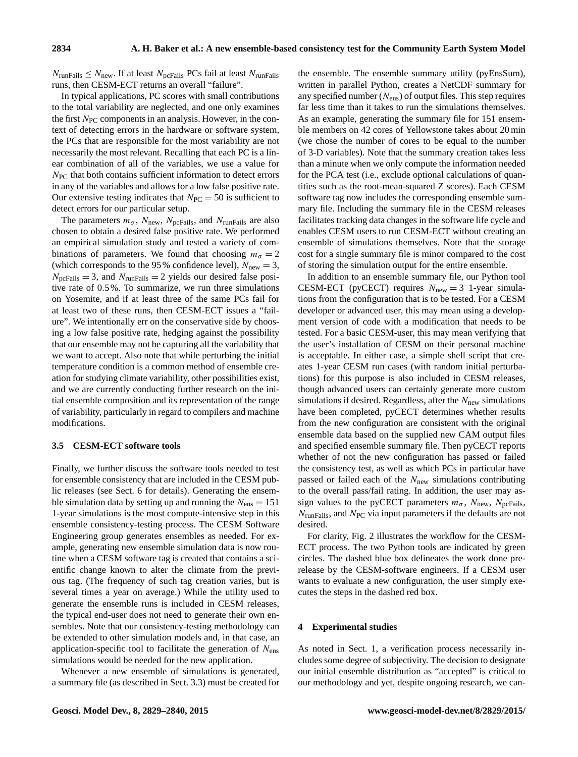$N_{\text{runFails}} \leq N_{\text{new}}$ . If at least  $N_{\text{pcFails}}$  PCs fail at least  $N_{\text{runFails}}$ runs, then CESM-ECT returns an overall "failure".

In typical applications, PC scores with small contributions to the total variability are neglected, and one only examines the first  $N_{PC}$  components in an analysis. However, in the context of detecting errors in the hardware or software system, the PCs that are responsible for the most variability are not necessarily the most relevant. Recalling that each PC is a linear combination of all of the variables, we use a value for  $N_{\text{PC}}$  that both contains sufficient information to detect errors in any of the variables and allows for a low false positive rate. Our extensive testing indicates that  $N_{\text{PC}} = 50$  is sufficient to detect errors for our particular setup.

The parameters  $m_{\sigma}$ ,  $N_{\text{new}}$ ,  $N_{\text{pcFails}}$ , and  $N_{\text{runFails}}$  are also chosen to obtain a desired false positive rate. We performed an empirical simulation study and tested a variety of combinations of parameters. We found that choosing  $m_{\sigma} = 2$ (which corresponds to the 95 % confidence level),  $N_{\text{new}} = 3$ ,  $N_{\text{pcFails}} = 3$ , and  $N_{\text{runFails}} = 2$  yields our desired false positive rate of 0.5 %. To summarize, we run three simulations on Yosemite, and if at least three of the same PCs fail for at least two of these runs, then CESM-ECT issues a "failure". We intentionally err on the conservative side by choosing a low false positive rate, hedging against the possibility that our ensemble may not be capturing all the variability that we want to accept. Also note that while perturbing the initial temperature condition is a common method of ensemble creation for studying climate variability, other possibilities exist, and we are currently conducting further research on the initial ensemble composition and its representation of the range of variability, particularly in regard to compilers and machine modifications.

## <span id="page-5-1"></span>**3.5 CESM-ECT software tools**

Finally, we further discuss the software tools needed to test for ensemble consistency that are included in the CESM public releases (see Sect. [6](#page-10-1) for details). Generating the ensemble simulation data by setting up and running the  $N_{\text{ens}} = 151$ 1-year simulations is the most compute-intensive step in this ensemble consistency-testing process. The CESM Software Engineering group generates ensembles as needed. For example, generating new ensemble simulation data is now routine when a CESM software tag is created that contains a scientific change known to alter the climate from the previous tag. (The frequency of such tag creation varies, but is several times a year on average.) While the utility used to generate the ensemble runs is included in CESM releases, the typical end-user does not need to generate their own ensembles. Note that our consistency-testing methodology can be extended to other simulation models and, in that case, an application-specific tool to facilitate the generation of  $N_{\text{ens}}$ simulations would be needed for the new application.

Whenever a new ensemble of simulations is generated, a summary file (as described in Sect. [3.3\)](#page-3-0) must be created for the ensemble. The ensemble summary utility (pyEnsSum), written in parallel Python, creates a NetCDF summary for any specified number  $(N_{\rm ens})$  of output files. This step requires far less time than it takes to run the simulations themselves. As an example, generating the summary file for 151 ensemble members on 42 cores of Yellowstone takes about 20 min (we chose the number of cores to be equal to the number of 3-D variables). Note that the summary creation takes less than a minute when we only compute the information needed for the PCA test (i.e., exclude optional calculations of quantities such as the root-mean-squared Z scores). Each CESM software tag now includes the corresponding ensemble summary file. Including the summary file in the CESM releases facilitates tracking data changes in the software life cycle and enables CESM users to run CESM-ECT without creating an ensemble of simulations themselves. Note that the storage cost for a single summary file is minor compared to the cost of storing the simulation output for the entire ensemble.

In addition to an ensemble summary file, our Python tool CESM-ECT (pyCECT) requires  $N_{\text{new}} = 3$  1-year simulations from the configuration that is to be tested. For a CESM developer or advanced user, this may mean using a development version of code with a modification that needs to be tested. For a basic CESM-user, this may mean verifying that the user's installation of CESM on their personal machine is acceptable. In either case, a simple shell script that creates 1-year CESM run cases (with random initial perturbations) for this purpose is also included in CESM releases, though advanced users can certainly generate more custom simulations if desired. Regardless, after the  $N_{\text{new}}$  simulations have been completed, pyCECT determines whether results from the new configuration are consistent with the original ensemble data based on the supplied new CAM output files and specified ensemble summary file. Then pyCECT reports whether of not the new configuration has passed or failed the consistency test, as well as which PCs in particular have passed or failed each of the  $N_{\text{new}}$  simulations contributing to the overall pass/fail rating. In addition, the user may assign values to the pyCECT parameters  $m_{\sigma}$ ,  $N_{\text{new}}$ ,  $N_{\text{pcFails}}$ ,  $N_{\text{runFails}}$ , and  $N_{\text{PC}}$  via input parameters if the defaults are not desired.

For clarity, Fig. [2](#page-6-0) illustrates the workflow for the CESM-ECT process. The two Python tools are indicated by green circles. The dashed blue box delineates the work done prerelease by the CESM-software engineers. If a CESM user wants to evaluate a new configuration, the user simply executes the steps in the dashed red box.

#### <span id="page-5-0"></span>**4 Experimental studies**

As noted in Sect. [1,](#page-0-1) a verification process necessarily includes some degree of subjectivity. The decision to designate our initial ensemble distribution as "accepted" is critical to our methodology and yet, despite ongoing research, we can-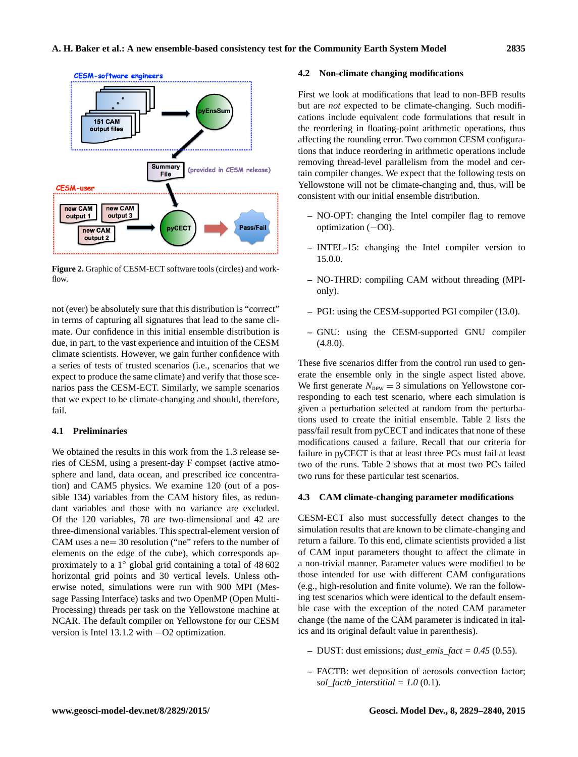<span id="page-6-0"></span>

**Figure 2.** Graphic of CESM-ECT software tools (circles) and workflow.

not (ever) be absolutely sure that this distribution is "correct" in terms of capturing all signatures that lead to the same climate. Our confidence in this initial ensemble distribution is due, in part, to the vast experience and intuition of the CESM climate scientists. However, we gain further confidence with a series of tests of trusted scenarios (i.e., scenarios that we expect to produce the same climate) and verify that those scenarios pass the CESM-ECT. Similarly, we sample scenarios that we expect to be climate-changing and should, therefore, fail.

## <span id="page-6-2"></span>**4.1 Preliminaries**

We obtained the results in this work from the 1.3 release series of CESM, using a present-day F compset (active atmosphere and land, data ocean, and prescribed ice concentration) and CAM5 physics. We examine 120 (out of a possible 134) variables from the CAM history files, as redundant variables and those with no variance are excluded. Of the 120 variables, 78 are two-dimensional and 42 are three-dimensional variables. This spectral-element version of CAM uses a ne= 30 resolution ("ne" refers to the number of elements on the edge of the cube), which corresponds approximately to a 1◦ global grid containing a total of 48 602 horizontal grid points and 30 vertical levels. Unless otherwise noted, simulations were run with 900 MPI (Message Passing Interface) tasks and two OpenMP (Open Multi-Processing) threads per task on the Yellowstone machine at NCAR. The default compiler on Yellowstone for our CESM version is Intel 13.1.2 with −O2 optimization.

#### <span id="page-6-1"></span>**4.2 Non-climate changing modifications**

First we look at modifications that lead to non-BFB results but are *not* expected to be climate-changing. Such modifications include equivalent code formulations that result in the reordering in floating-point arithmetic operations, thus affecting the rounding error. Two common CESM configurations that induce reordering in arithmetic operations include removing thread-level parallelism from the model and certain compiler changes. We expect that the following tests on Yellowstone will not be climate-changing and, thus, will be consistent with our initial ensemble distribution.

- **–** NO-OPT: changing the Intel compiler flag to remove optimization (−O0).
- **–** INTEL-15: changing the Intel compiler version to 15.0.0.
- **–** NO-THRD: compiling CAM without threading (MPIonly).
- **–** PGI: using the CESM-supported PGI compiler (13.0).
- **–** GNU: using the CESM-supported GNU compiler  $(4.8.0).$

These five scenarios differ from the control run used to generate the ensemble only in the single aspect listed above. We first generate  $N_{\text{new}} = 3$  simulations on Yellowstone corresponding to each test scenario, where each simulation is given a perturbation selected at random from the perturbations used to create the initial ensemble. Table [2](#page-7-0) lists the pass/fail result from pyCECT and indicates that none of these modifications caused a failure. Recall that our criteria for failure in pyCECT is that at least three PCs must fail at least two of the runs. Table [2](#page-7-0) shows that at most two PCs failed two runs for these particular test scenarios.

## **4.3 CAM climate-changing parameter modifications**

CESM-ECT also must successfully detect changes to the simulation results that are known to be climate-changing and return a failure. To this end, climate scientists provided a list of CAM input parameters thought to affect the climate in a non-trivial manner. Parameter values were modified to be those intended for use with different CAM configurations (e.g., high-resolution and finite volume). We ran the following test scenarios which were identical to the default ensemble case with the exception of the noted CAM parameter change (the name of the CAM parameter is indicated in italics and its original default value in parenthesis).

- **–** DUST: dust emissions; *dust\_emis\_fact = 0.45* (0.55).
- **–** FACTB: wet deposition of aerosols convection factor;  $sol_factb_$ interstitial =  $1.0$  (0.1).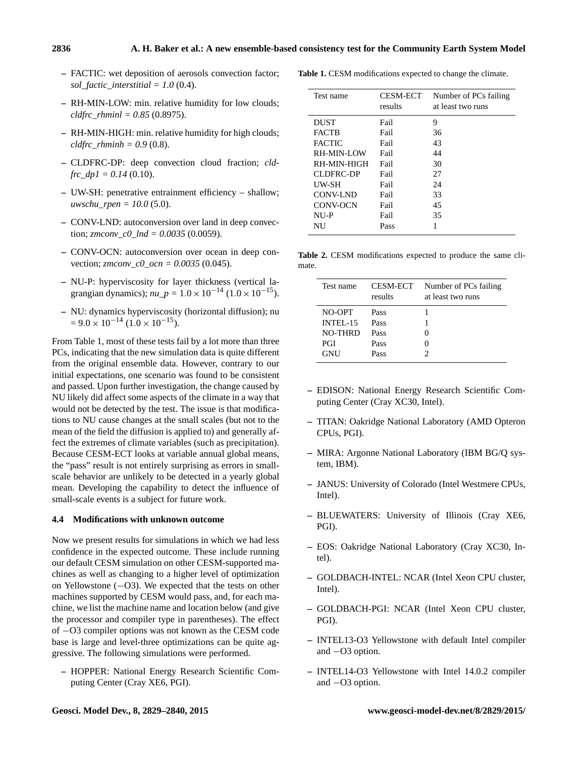- **–** FACTIC: wet deposition of aerosols convection factor; *sol\_factic\_interstitial = 1.0* (0.4).
- **–** RH-MIN-LOW: min. relative humidity for low clouds; *cldfrc\_rhminl = 0.85* (0.8975).
- **–** RH-MIN-HIGH: min. relative humidity for high clouds; *cldfrc*  $rhminh = 0.9$  (0.8).
- **–** CLDFRC-DP: deep convection cloud fraction; *cldfrc*  $dp1 = 0.14$  (0.10).
- **–** UW-SH: penetrative entrainment efficiency shallow; *uwschu\_rpen = 10.0* (5.0).
- **–** CONV-LND: autoconversion over land in deep convection; *zmconv\_c0\_lnd = 0.0035* (0.0059).
- **–** CONV-OCN: autoconversion over ocean in deep convection; *zmconv\_c0\_ocn = 0.0035* (0.045).
- **–** NU-P: hyperviscosity for layer thickness (vertical lagrangian dynamics);  $nu_p = 1.0 \times 10^{-14}$  ( $1.0 \times 10^{-15}$ ).
- **–** NU: dynamics hyperviscosity (horizontal diffusion); nu  $= 9.0 \times 10^{-14}$  (1.0 × 10<sup>-15</sup>).

From Table [1,](#page-7-1) most of these tests fail by a lot more than three PCs, indicating that the new simulation data is quite different from the original ensemble data. However, contrary to our initial expectations, one scenario was found to be consistent and passed. Upon further investigation, the change caused by NU likely did affect some aspects of the climate in a way that would not be detected by the test. The issue is that modifications to NU cause changes at the small scales (but not to the mean of the field the diffusion is applied to) and generally affect the extremes of climate variables (such as precipitation). Because CESM-ECT looks at variable annual global means, the "pass" result is not entirely surprising as errors in smallscale behavior are unlikely to be detected in a yearly global mean. Developing the capability to detect the influence of small-scale events is a subject for future work.

## <span id="page-7-2"></span>**4.4 Modifications with unknown outcome**

Now we present results for simulations in which we had less confidence in the expected outcome. These include running our default CESM simulation on other CESM-supported machines as well as changing to a higher level of optimization on Yellowstone (−O3). We expected that the tests on other machines supported by CESM would pass, and, for each machine, we list the machine name and location below (and give the processor and compiler type in parentheses). The effect of −O3 compiler options was not known as the CESM code base is large and level-three optimizations can be quite aggressive. The following simulations were performed.

**–** HOPPER: National Energy Research Scientific Computing Center (Cray XE6, PGI).

<span id="page-7-1"></span>**Table 1.** CESM modifications expected to change the climate.

| Test name     | <b>CESM-ECT</b><br>results | Number of PCs failing<br>at least two runs |
|---------------|----------------------------|--------------------------------------------|
| <b>DUST</b>   | Fail                       | 9                                          |
| <b>FACTB</b>  | Fail                       | 36                                         |
| <b>FACTIC</b> | Fail                       | 43                                         |
| RH-MIN-LOW    | Fail                       | 44                                         |
| RH-MIN-HIGH   | Fail                       | 30                                         |
| CLDFRC-DP     | Fail                       | 27                                         |
| UW-SH         | Fail                       | 24                                         |
| CONV-LND      | Fail                       | 33                                         |
| CONV-OCN      | Fail                       | 45                                         |
| NU-P          | Fail                       | 35                                         |
| NU            | Pass                       |                                            |

<span id="page-7-0"></span>**Table 2.** CESM modifications expected to produce the same climate.

| Test name  | <b>CESM-ECT</b><br>results | Number of PCs failing<br>at least two runs |
|------------|----------------------------|--------------------------------------------|
| NO-OPT     | Pass                       |                                            |
| INTEL-15   | Pass                       |                                            |
| NO-THRD    | Pass                       |                                            |
| <b>PGI</b> | Pass                       |                                            |
| <b>GNU</b> | Pass                       |                                            |

- **–** EDISON: National Energy Research Scientific Computing Center (Cray XC30, Intel).
- **–** TITAN: Oakridge National Laboratory (AMD Opteron CPUs, PGI).
- **–** MIRA: Argonne National Laboratory (IBM BG/Q system, IBM).
- **–** JANUS: University of Colorado (Intel Westmere CPUs, Intel).
- **–** BLUEWATERS: University of Illinois (Cray XE6, PGI).
- **–** EOS: Oakridge National Laboratory (Cray XC30, Intel).
- **–** GOLDBACH-INTEL: NCAR (Intel Xeon CPU cluster, Intel).
- **–** GOLDBACH-PGI: NCAR (Intel Xeon CPU cluster, PGI).
- **–** INTEL13-O3 Yellowstone with default Intel compiler and −O3 option.
- **–** INTEL14-O3 Yellowstone with Intel 14.0.2 compiler and −O3 option.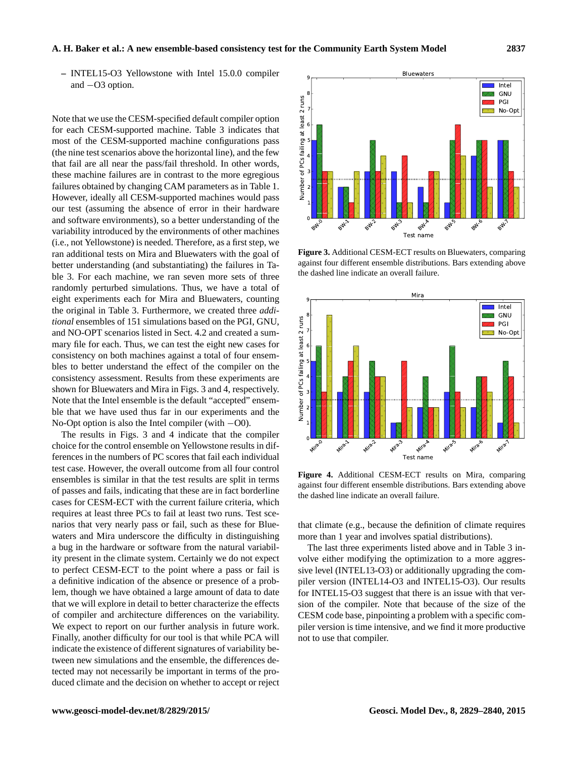#### **A. H. Baker et al.: A new ensemble-based consistency test for the Community Earth System Model 2837**

**–** INTEL15-O3 Yellowstone with Intel 15.0.0 compiler and −O3 option.

Note that we use the CESM-specified default compiler option for each CESM-supported machine. Table [3](#page-9-2) indicates that most of the CESM-supported machine configurations pass (the nine test scenarios above the horizontal line), and the few that fail are all near the pass/fail threshold. In other words, these machine failures are in contrast to the more egregious failures obtained by changing CAM parameters as in Table [1.](#page-7-1) However, ideally all CESM-supported machines would pass our test (assuming the absence of error in their hardware and software environments), so a better understanding of the variability introduced by the environments of other machines (i.e., not Yellowstone) is needed. Therefore, as a first step, we ran additional tests on Mira and Bluewaters with the goal of better understanding (and substantiating) the failures in Table [3.](#page-9-2) For each machine, we ran seven more sets of three randomly perturbed simulations. Thus, we have a total of eight experiments each for Mira and Bluewaters, counting the original in Table [3.](#page-9-2) Furthermore, we created three *additional* ensembles of 151 simulations based on the PGI, GNU, and NO-OPT scenarios listed in Sect. [4.2](#page-6-1) and created a summary file for each. Thus, we can test the eight new cases for consistency on both machines against a total of four ensembles to better understand the effect of the compiler on the consistency assessment. Results from these experiments are shown for Bluewaters and Mira in Figs. [3](#page-8-0) and [4,](#page-8-1) respectively. Note that the Intel ensemble is the default "accepted" ensemble that we have used thus far in our experiments and the No-Opt option is also the Intel compiler (with −O0).

The results in Figs. [3](#page-8-0) and [4](#page-8-1) indicate that the compiler choice for the control ensemble on Yellowstone results in differences in the numbers of PC scores that fail each individual test case. However, the overall outcome from all four control ensembles is similar in that the test results are split in terms of passes and fails, indicating that these are in fact borderline cases for CESM-ECT with the current failure criteria, which requires at least three PCs to fail at least two runs. Test scenarios that very nearly pass or fail, such as these for Bluewaters and Mira underscore the difficulty in distinguishing a bug in the hardware or software from the natural variability present in the climate system. Certainly we do not expect to perfect CESM-ECT to the point where a pass or fail is a definitive indication of the absence or presence of a problem, though we have obtained a large amount of data to date that we will explore in detail to better characterize the effects of compiler and architecture differences on the variability. We expect to report on our further analysis in future work. Finally, another difficulty for our tool is that while PCA will indicate the existence of different signatures of variability between new simulations and the ensemble, the differences detected may not necessarily be important in terms of the produced climate and the decision on whether to accept or reject

<span id="page-8-0"></span>

**Figure 3.** Additional CESM-ECT results on Bluewaters, comparing against four different ensemble distributions. Bars extending above the dashed line indicate an overall failure.

<span id="page-8-1"></span>

**Figure 4.** Additional CESM-ECT results on Mira, comparing against four different ensemble distributions. Bars extending above the dashed line indicate an overall failure.

that climate (e.g., because the definition of climate requires more than 1 year and involves spatial distributions).

The last three experiments listed above and in Table [3](#page-9-2) involve either modifying the optimization to a more aggressive level (INTEL13-O3) or additionally upgrading the compiler version (INTEL14-O3 and INTEL15-O3). Our results for INTEL15-O3 suggest that there is an issue with that version of the compiler. Note that because of the size of the CESM code base, pinpointing a problem with a specific compiler version is time intensive, and we find it more productive not to use that compiler.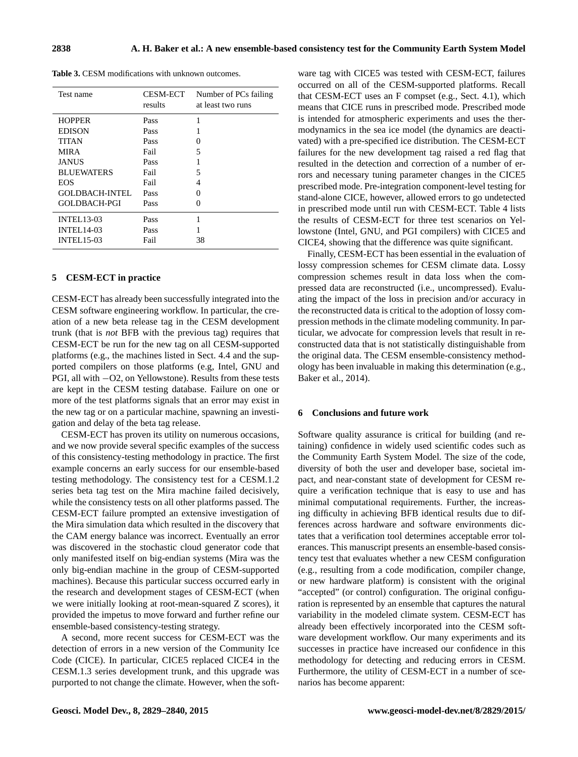<span id="page-9-2"></span>**Table 3.** CESM modifications with unknown outcomes.

| Test name           | <b>CESM-ECT</b><br>results | Number of PCs failing<br>at least two runs |
|---------------------|----------------------------|--------------------------------------------|
| <b>HOPPER</b>       | Pass                       |                                            |
| <b>EDISON</b>       | Pass                       |                                            |
| TITAN               | Pass                       | $\mathbf{\Omega}$                          |
| <b>MIRA</b>         | Fail                       | 5                                          |
| JANUS               | Pass                       |                                            |
| <b>BLUEWATERS</b>   | Fail                       | 5                                          |
| <b>EOS</b>          | Fail                       | 4                                          |
| GOLDBACH-INTEL      | Pass                       | 0                                          |
| <b>GOLDBACH-PGI</b> | Pass                       | 0                                          |
| <b>INTEL13-03</b>   | Pass                       | 1                                          |
| <b>INTEL14-03</b>   | Pass                       |                                            |
| <b>INTEL15-03</b>   | Fail                       | 38                                         |

## <span id="page-9-0"></span>**5 CESM-ECT in practice**

CESM-ECT has already been successfully integrated into the CESM software engineering workflow. In particular, the creation of a new beta release tag in the CESM development trunk (that is *not* BFB with the previous tag) requires that CESM-ECT be run for the new tag on all CESM-supported platforms (e.g., the machines listed in Sect. [4.4](#page-7-2) and the supported compilers on those platforms (e.g, Intel, GNU and PGI, all with −O2, on Yellowstone). Results from these tests are kept in the CESM testing database. Failure on one or more of the test platforms signals that an error may exist in the new tag or on a particular machine, spawning an investigation and delay of the beta tag release.

CESM-ECT has proven its utility on numerous occasions, and we now provide several specific examples of the success of this consistency-testing methodology in practice. The first example concerns an early success for our ensemble-based testing methodology. The consistency test for a CESM.1.2 series beta tag test on the Mira machine failed decisively, while the consistency tests on all other platforms passed. The CESM-ECT failure prompted an extensive investigation of the Mira simulation data which resulted in the discovery that the CAM energy balance was incorrect. Eventually an error was discovered in the stochastic cloud generator code that only manifested itself on big-endian systems (Mira was the only big-endian machine in the group of CESM-supported machines). Because this particular success occurred early in the research and development stages of CESM-ECT (when we were initially looking at root-mean-squared Z scores), it provided the impetus to move forward and further refine our ensemble-based consistency-testing strategy.

A second, more recent success for CESM-ECT was the detection of errors in a new version of the Community Ice Code (CICE). In particular, CICE5 replaced CICE4 in the CESM.1.3 series development trunk, and this upgrade was purported to not change the climate. However, when the software tag with CICE5 was tested with CESM-ECT, failures occurred on all of the CESM-supported platforms. Recall that CESM-ECT uses an F compset (e.g., Sect. [4.1\)](#page-6-2), which means that CICE runs in prescribed mode. Prescribed mode is intended for atmospheric experiments and uses the thermodynamics in the sea ice model (the dynamics are deactivated) with a pre-specified ice distribution. The CESM-ECT failures for the new development tag raised a red flag that resulted in the detection and correction of a number of errors and necessary tuning parameter changes in the CICE5 prescribed mode. Pre-integration component-level testing for stand-alone CICE, however, allowed errors to go undetected in prescribed mode until run with CESM-ECT. Table [4](#page-10-2) lists the results of CESM-ECT for three test scenarios on Yellowstone (Intel, GNU, and PGI compilers) with CICE5 and CICE4, showing that the difference was quite significant.

Finally, CESM-ECT has been essential in the evaluation of lossy compression schemes for CESM climate data. Lossy compression schemes result in data loss when the compressed data are reconstructed (i.e., uncompressed). Evaluating the impact of the loss in precision and/or accuracy in the reconstructed data is critical to the adoption of lossy compression methods in the climate modeling community. In particular, we advocate for compression levels that result in reconstructed data that is not statistically distinguishable from the original data. The CESM ensemble-consistency methodology has been invaluable in making this determination (e.g., [Baker et al.,](#page-11-21) [2014\)](#page-11-21).

#### <span id="page-9-1"></span>**6 Conclusions and future work**

Software quality assurance is critical for building (and retaining) confidence in widely used scientific codes such as the Community Earth System Model. The size of the code, diversity of both the user and developer base, societal impact, and near-constant state of development for CESM require a verification technique that is easy to use and has minimal computational requirements. Further, the increasing difficulty in achieving BFB identical results due to differences across hardware and software environments dictates that a verification tool determines acceptable error tolerances. This manuscript presents an ensemble-based consistency test that evaluates whether a new CESM configuration (e.g., resulting from a code modification, compiler change, or new hardware platform) is consistent with the original "accepted" (or control) configuration. The original configuration is represented by an ensemble that captures the natural variability in the modeled climate system. CESM-ECT has already been effectively incorporated into the CESM software development workflow. Our many experiments and its successes in practice have increased our confidence in this methodology for detecting and reducing errors in CESM. Furthermore, the utility of CESM-ECT in a number of scenarios has become apparent: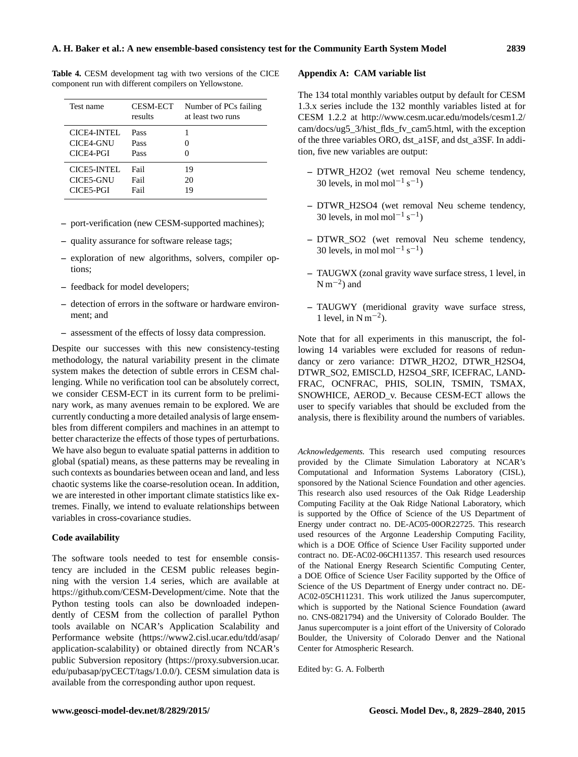| Test name                             | <b>CESM-ECT</b><br>results | Number of PCs failing<br>at least two runs |
|---------------------------------------|----------------------------|--------------------------------------------|
| CICE4-INTEL<br>CICE4-GNU<br>CICE4-PGI | Pass<br>Pass<br>Pass       | $\mathbf{\Omega}$                          |
| CICE5-INTEL<br>CICE5-GNU<br>CICE5-PGI | Fail<br>Fail<br>Fail       | 19<br>20<br>19                             |

<span id="page-10-2"></span>**Table 4.** CESM development tag with two versions of the CICE component run with different compilers on Yellowstone.

- **–** port-verification (new CESM-supported machines);
- **–** quality assurance for software release tags;
- **–** exploration of new algorithms, solvers, compiler options;
- **–** feedback for model developers;
- **–** detection of errors in the software or hardware environment; and
- **–** assessment of the effects of lossy data compression.

Despite our successes with this new consistency-testing methodology, the natural variability present in the climate system makes the detection of subtle errors in CESM challenging. While no verification tool can be absolutely correct, we consider CESM-ECT in its current form to be preliminary work, as many avenues remain to be explored. We are currently conducting a more detailed analysis of large ensembles from different compilers and machines in an attempt to better characterize the effects of those types of perturbations. We have also begun to evaluate spatial patterns in addition to global (spatial) means, as these patterns may be revealing in such contexts as boundaries between ocean and land, and less chaotic systems like the coarse-resolution ocean. In addition, we are interested in other important climate statistics like extremes. Finally, we intend to evaluate relationships between variables in cross-covariance studies.

## **Code availability**

<span id="page-10-1"></span>The software tools needed to test for ensemble consistency are included in the CESM public releases beginning with the version 1.4 series, which are available at [https://github.com/CESM-Development/cime.](https://github.com/CESM-Development/cime) Note that the Python testing tools can also be downloaded independently of CESM from the collection of parallel Python tools available on NCAR's Application Scalability and Performance website [\(https://www2.cisl.ucar.edu/tdd/asap/](https://www2.cisl.ucar.edu/tdd/asap/application-scalability) [application-scalability\)](https://www2.cisl.ucar.edu/tdd/asap/application-scalability) or obtained directly from NCAR's public Subversion repository [\(https://proxy.subversion.ucar.](https://proxy.subversion.ucar.edu/pubasap/pyCECT/tags/1.0.0/) [edu/pubasap/pyCECT/tags/1.0.0/\)](https://proxy.subversion.ucar.edu/pubasap/pyCECT/tags/1.0.0/). CESM simulation data is available from the corresponding author upon request.

#### <span id="page-10-0"></span>**Appendix A: CAM variable list**

The 134 total monthly variables output by default for CESM 1.3.x series include the 132 monthly variables listed at for CESM 1.2.2 at [http://www.cesm.ucar.edu/models/cesm1.2/](http://www.cesm.ucar.edu/models/cesm1.2/cam/docs/ug5_3/hist_flds_fv_cam5.html) [cam/docs/ug5\\_3/hist\\_flds\\_fv\\_cam5.html,](http://www.cesm.ucar.edu/models/cesm1.2/cam/docs/ug5_3/hist_flds_fv_cam5.html) with the exception of the three variables ORO, dst\_a1SF, and dst\_a3SF. In addition, five new variables are output:

- **–** DTWR\_H2O2 (wet removal Neu scheme tendency, 30 levels, in mol mol<sup>-1</sup> s<sup>-1</sup>)
- **–** DTWR\_H2SO4 (wet removal Neu scheme tendency, 30 levels, in mol mol<sup>-1</sup> s<sup>-1</sup>)
- **–** DTWR\_SO2 (wet removal Neu scheme tendency, 30 levels, in mol mol<sup>-1</sup> s<sup>-1</sup>)
- **–** TAUGWX (zonal gravity wave surface stress, 1 level, in  $N m^{-2}$ ) and
- **–** TAUGWY (meridional gravity wave surface stress, 1 level, in  $N m^{-2}$ ).

Note that for all experiments in this manuscript, the following 14 variables were excluded for reasons of redundancy or zero variance: DTWR\_H2O2, DTWR\_H2SO4, DTWR\_SO2, EMISCLD, H2SO4\_SRF, ICEFRAC, LAND-FRAC, OCNFRAC, PHIS, SOLIN, TSMIN, TSMAX, SNOWHICE, AEROD\_v. Because CESM-ECT allows the user to specify variables that should be excluded from the analysis, there is flexibility around the numbers of variables.

*Acknowledgements.* This research used computing resources provided by the Climate Simulation Laboratory at NCAR's Computational and Information Systems Laboratory (CISL), sponsored by the National Science Foundation and other agencies. This research also used resources of the Oak Ridge Leadership Computing Facility at the Oak Ridge National Laboratory, which is supported by the Office of Science of the US Department of Energy under contract no. DE-AC05-00OR22725. This research used resources of the Argonne Leadership Computing Facility, which is a DOE Office of Science User Facility supported under contract no. DE-AC02-06CH11357. This research used resources of the National Energy Research Scientific Computing Center, a DOE Office of Science User Facility supported by the Office of Science of the US Department of Energy under contract no. DE-AC02-05CH11231. This work utilized the Janus supercomputer, which is supported by the National Science Foundation (award no. CNS-0821794) and the University of Colorado Boulder. The Janus supercomputer is a joint effort of the University of Colorado Boulder, the University of Colorado Denver and the National Center for Atmospheric Research.

Edited by: G. A. Folberth